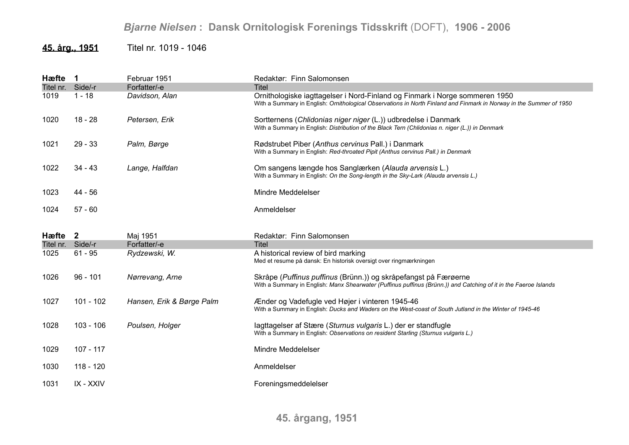## *Bjarne Nielsen* **: Dansk Ornitologisk Forenings Tidsskrift** (DOFT), **1906 - 2006**

## **45. årg., 1951** Titel nr. 1019 - 1046

| Hæfte                     | $\mathbf 1$ | Februar 1951                  | Redaktør: Finn Salomonsen                                                                                                                                                                          |
|---------------------------|-------------|-------------------------------|----------------------------------------------------------------------------------------------------------------------------------------------------------------------------------------------------|
| Titel nr. Side/-r         |             | Forfatter/-e                  | Titel                                                                                                                                                                                              |
| 1019                      | $1 - 18$    | Davidson, Alan                | Ornithologiske iagttagelser i Nord-Finland og Finmark i Norge sommeren 1950<br>With a Summary in English: Ornithological Observations in North Finland and Finmark in Norway in the Summer of 1950 |
| 1020                      | $18 - 28$   | Petersen, Erik                | Sortternens (Chlidonias niger niger (L.)) udbredelse i Danmark<br>With a Summary in English: Distribution of the Black Tern (Chlidonias n. niger (L.)) in Denmark                                  |
| 1021                      | $29 - 33$   | Palm, Børge                   | Rødstrubet Piber (Anthus cervinus Pall.) i Danmark<br>With a Summary in English: Red-throated Pipit (Anthus cervinus Pall.) in Denmark                                                             |
| 1022                      | $34 - 43$   | Lange, Halfdan                | Om sangens længde hos Sanglærken (Alauda arvensis L.)<br>With a Summary in English: On the Song-length in the Sky-Lark (Alauda arvensis L.)                                                        |
| 1023                      | 44 - 56     |                               | Mindre Meddelelser                                                                                                                                                                                 |
| 1024                      | $57 - 60$   |                               | Anmeldelser                                                                                                                                                                                        |
|                           |             |                               |                                                                                                                                                                                                    |
|                           |             |                               |                                                                                                                                                                                                    |
| Hæfte 2                   |             | Maj 1951                      | Redaktør: Finn Salomonsen                                                                                                                                                                          |
| Titel nr. Side/-r<br>1025 | $61 - 95$   | Forfatter/-e<br>Rydzewski, W. | <b>Titel</b><br>A historical review of bird marking<br>Med et resume på dansk: En historisk oversigt over ringmærkningen                                                                           |
| 1026                      | $96 - 101$  | Nørrevang, Arne               | Skråpe (Puffinus puffinus (Brünn.)) og skråpefangst på Færøerne<br>With a Summary in English: Manx Shearwater (Puffinus puffinus (Brünn.)) and Catching of it in the Faeroe Islands                |
| 1027                      | $101 - 102$ | Hansen, Erik & Børge Palm     | Ænder og Vadefugle ved Højer i vinteren 1945-46<br>With a Summary in English: Ducks and Waders on the West-coast of South Jutland in the Winter of 1945-46                                         |
| 1028                      | $103 - 106$ | Poulsen, Holger               | lagttagelser af Stære (Sturnus vulgaris L.) der er standfugle<br>With a Summary in English: Observations on resident Starling (Sturnus vulgaris L.)                                                |
| 1029                      | $107 - 117$ |                               | Mindre Meddelelser                                                                                                                                                                                 |
| 1030                      | 118 - 120   |                               | Anmeldelser                                                                                                                                                                                        |